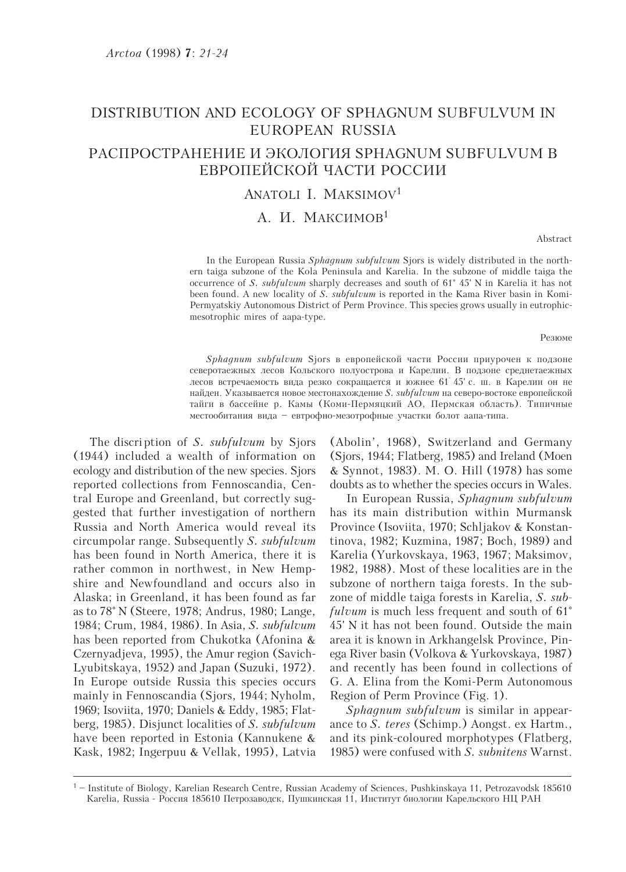## DISTRIBUTION AND ECOLOGY OF SPHAGNUM SUBFULVUM IN EUROPEAN RUSSIA

# РАСПРОСТРАНЕНИЕ И ЭКОЛОГИЯ SPHAGNUM SUBFULVUM В ЕВРОПЕЙСКОЙ ЧАСТИ РОССИИ

#### ANATOLI I. MAKSIMOV<sup>1</sup>

### A. *M. MAKCUMOB*<sup>1</sup>

Abstract

In the European Russia Sphagnum subfulvum Sjors is widely distributed in the northern taiga subzone of the Kola Peninsula and Karelia. In the subzone of middle taiga the occurrence of S. subfulvum sharply decreases and south of 61° 45' N in Karelia it has not been found. A new locality of S. subfulvum is reported in the Kama River basin in Komi-Permyatskiy Autonomous District of Perm Province. This species grows usually in eutrophicmesotrophic mires of aapa-type.

Резюме

Sphagnum subfulvum Sjors в европейской части России приурочен к подзоне северотаежных лесов Кольского полуострова и Карелии. В подзоне среднетаежных лесов встречаемость вида резко сокращается и южнее 61 45 с. ш. в Карелии он не найден. Указывается новое местонахождение *S. subfulvum* на северо-востоке европейской тайги в бассейне р. Камы (Коми-Пермяцкий АО, Пермская область). Типичные местообитания вида - евтрофно-мезотрофные участки болот аапа-типа.

The discription of S. subfulvum by Sjors (1944) included a wealth of information on ecology and distribution of the new species. Sjors reported collections from Fennoscandia, Central Europe and Greenland, but correctly suggested that further investigation of northern Russia and North America would reveal its circumpolar range. Subsequently S. subfulvum has been found in North America, there it is rather common in northwest, in New Hempshire and Newfoundland and occurs also in Alaska; in Greenland, it has been found as far as to 78° N (Steere, 1978; Andrus, 1980; Lange, 1984; Crum, 1984, 1986). In Asia, S. subfulvum has been reported from Chukotka (Afonina & Czernyadjeva, 1995), the Amur region (Savich-Lyubitskaya, 1952) and Japan (Suzuki, 1972). In Europe outside Russia this species occurs mainly in Fennoscandia (Sjors, 1944; Nyholm, 1969; Isoviita, 1970; Daniels & Eddy, 1985; Flatberg, 1985). Disjunct localities of S. subfulvum have been reported in Estonia (Kannukene & Kask, 1982; Ingerpuu & Vellak, 1995), Latvia (Abolin', 1968), Switzerland and Germany (Sjors, 1944; Flatberg, 1985) and Ireland (Moen & Synnot, 1983). M. O. Hill (1978) has some doubts as to whether the species occurs in Wales.

In European Russia, Sphagnum subfulvum has its main distribution within Murmansk Province (Isoviita, 1970; Schljakov & Konstantinova, 1982; Kuzmina, 1987; Boch, 1989) and Karelia (Yurkovskava, 1963, 1967; Maksimov, 1982, 1988). Most of these localities are in the subzone of northern taiga forests. In the subzone of middle taiga forests in Karelia, S. subfulvum is much less frequent and south of  $61^\circ$ 45' N it has not been found. Outside the main area it is known in Arkhangelsk Province, Pinega River basin (Volkova & Yurkovskaya, 1987) and recently has been found in collections of G. A. Elina from the Komi-Perm Autonomous Region of Perm Province (Fig. 1).

Sphagnum subfulvum is similar in appearance to S. teres (Schimp.) Aongst. ex Hartm., and its pink-coloured morphotypes (Flatberg, 1985) were confused with S. subnitens Warnst.

 $1 -$  Institute of Biology, Karelian Research Centre, Russian Academy of Sciences, Pushkinskaya 11, Petrozavodsk 185610 Karelia, Russia - Россия 185610 Петрозаводск, Пушкинская 11, Институт биологии Карельского НЦ РАН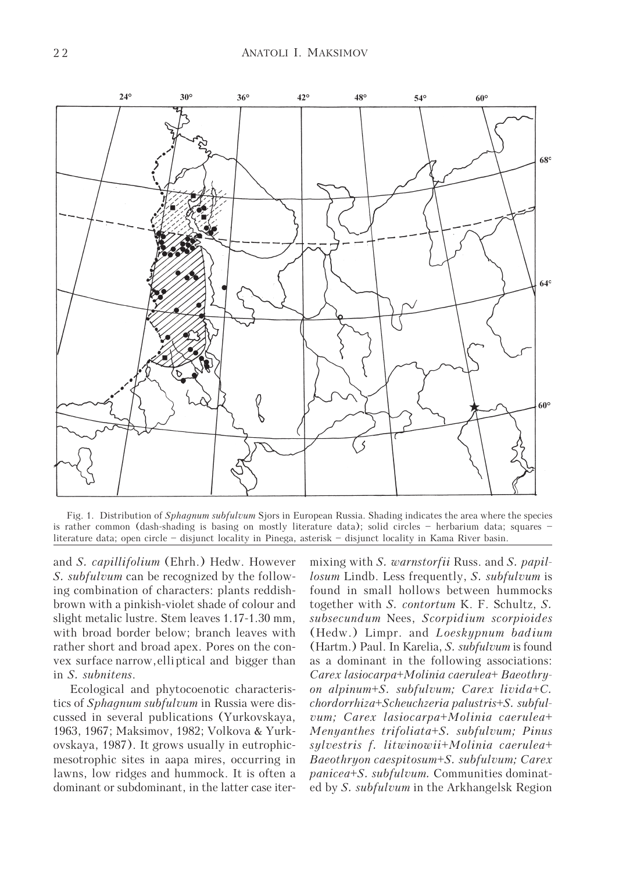

Fig. 1. Distribution of Sphagnum subfulvum Sjors in European Russia. Shading indicates the area where the species is rather common (dash-shading is basing on mostly literature data); solid circles – herbarium data; squares – literature data; open circle – disjunct locality in Pinega, asterisk – disjunct locality in Kama River basin.

and S. capillifolium (Ehrh.) Hedw. However S. *subfulvum* can be recognized by the following combination of characters: plants reddishbrown with a pinkish-violet shade of colour and slight metalic lustre. Stem leaves 1.17-1.30 mm, with broad border below; branch leaves with rather short and broad apex. Pores on the convex surface narrow, elliptical and bigger than in S. subnitens.

Ecological and phytocoenotic characteristics of *Sphagnum subfulvum* in Russia were discussed in several publications (Yurkovskaya, 1963, 1967; Maksimov, 1982; Volkova & Yurkovskaya, 1987). It grows usually in eutrophicmesotrophic sites in aapa mires, occurring in lawns, low ridges and hummock. It is often a dominant or subdominant, in the latter case iter-

mixing with S. warnstorfii Russ. and S. papillosum Lindb. Less frequently, S. subfulvum is found in small hollows between hummocks together with S. contortum K. F. Schultz, S. subsecundum Nees, Scorpidium scorpioides (Hedw.) Limpr. and Loeskypnum badium (Hartm.) Paul. In Karelia, S. subfulvum is found as a dominant in the following associations: Carex lasiocarpa+Molinia caerulea+ Baeothryon alpinum+S. subfulvum; Carex livida+C. chordorrhiza+Scheuchzeria palustris+S. subfulvum; Carex lasiocarpa+Molinia caerulea+ Menyanthes trifoliata+S. subfulvum; Pinus sylvestris f. litwinowii+Molinia caerulea+ Baeothryon caespitosum+S. subfulvum; Carex panicea+S. subfulvum. Communities dominated by *S. subfulvum* in the Arkhangelsk Region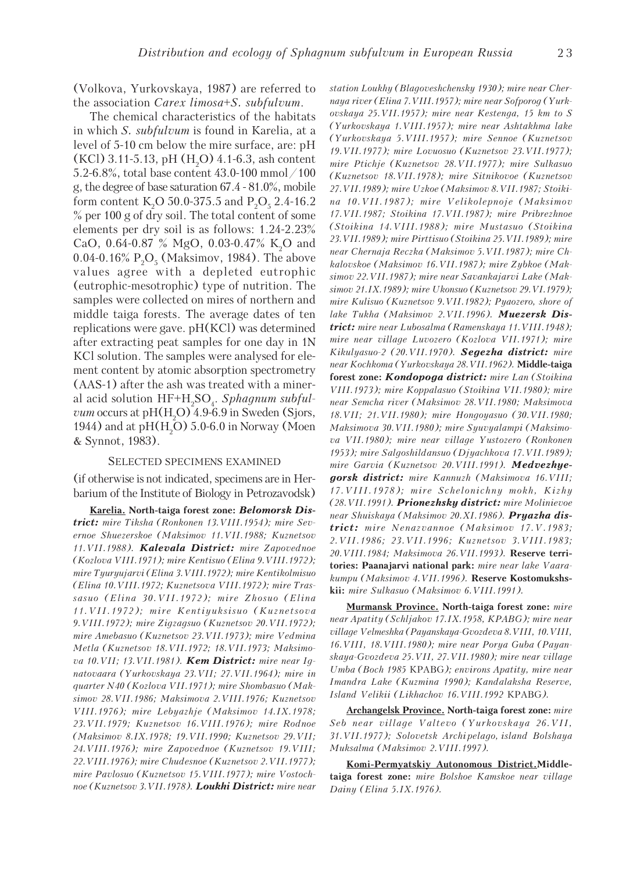(Volkova, Yurkovskaya, 1987) are referred to the association Carex limosa+S. subfulvum.

The chemical characteristics of the habitats in which S. subfulvum is found in Karelia, at a level of 5-10 cm below the mire surface, are: pH  $(KCl)$  3.11-5.13, pH  $(H<sub>2</sub>O)$  4.1-6.3, ash content 5.2-6.8%, total base content 43.0-100 mmol/100 g, the degree of base saturation 67.4 - 81.0%, mobile form content K<sub>2</sub>O 50.0-375.5 and P<sub>2</sub>O<sub>5</sub> 2.4-16.2 % per 100 g of dry soil. The total content of some elements per dry soil is as follows: 1.24-2.23% CaO, 0.64-0.87  $\%$  MgO, 0.03-0.47% K<sub>2</sub>O and 0.04-0.16%  $P_2O_5$  (Maksimov, 1984). The above values agree with a depleted eutrophic (eutrophic-mesotrophic) type of nutrition. The samples were collected on mires of northern and middle taiga forests. The average dates of ten replications were gave. pH(KCl) was determined after extracting peat samples for one day in 1N KCl solution. The samples were analysed for element content by atomic absorption spectrometry (AAS-1) after the ash was treated with a mineral acid solution  $\rm HF+H_2SO_4$ . Sphagnum subful*vum* occurs at  $pH(H_2O)$  4.9-6.9 in Sweden (Sjors, 1944) and at  $\rm pH(H_{2}O)$  5.0-6.0 in Norway (Moen & Synnot, 1983).

#### SELECTED SPECIMENS EXAMINED

(if otherwise is not indicated, specimens are in Herbarium of the Institute of Biology in Petrozavodsk)

Karelia. North-taiga forest zone: Belomorsk District: mire Tiksha (Ronkonen 13. VIII. 1954); mire Severnoe Shuezerskoe (Maksimov 11.VII.1988; Kuznetsov 11.VII.1988). Kalevala District: mire Zapovednoe (Kozlova VIII.1971); mire Kentisuo (Elina 9.VIII.1972); mire Tyuryujarvi (Elina 3.VIII.1972); mire Kentikolmisuo (Elina 10.VIII.1972; Kuznetsova VIII.1972); mire Trassasuo (Elina 30.VII.1972); mire Zhosuo (Elina 11.VII.1972); mire Kentiyuksisuo (Kuznetsova 9.VIII.1972); mire Zigzagsuo (Kuznetsov 20.VII.1972); mire Amebasuo (Kuznetsov 23.VII.1973); mire Vedmina Metla (Kuznetsov 18.VII.1972; 18.VII.1973; Maksimova 10. VII; 13. VII. 1981). Kem District: mire near Ignatovaara (Yurkovskaya 23.VII; 27.VII.1964); mire in quarter N40 (Kozlova VII.1971); mire Shombasuo (Maksimov 28.VII.1986; Maksimova 2.VIII.1976; Kuznetsov VIII.1976); mire Lebyazhje (Maksimov 14.IX.1978; 23.VII.1979; Kuznetsov 16.VIII.1976); mire Rodnoe (Maksimov 8.IX.1978; 19.VII.1990; Kuznetsov 29.VII; 24.VIII.1976); mire Zapovednoe (Kuznetsov 19.VIII; 22.VIII.1976); mire Chudesnoe (Kuznetsov 2.VII.1977); mire Pavlosuo (Kuznetsov 15.VIII.1977); mire Vostochnoe (Kuznetsov 3.VII.1978). **Loukhi District:** mire near station Loukhy (Blagoveshchensky 1930); mire near Chernaya river (Elina 7.VIII.1957); mire near Sofporog (Yurkovskaya 25.VII.1957); mire near Kestenga, 15 km to S (Yurkovskaya 1.VIII.1957); mire near Ashtakhma lake (Yurkovskaya 5.VIII.1957); mire Sennoe (Kuznetsov 19.VII.1977); mire Lovuosuo (Kuznetsov 23.VII.1977); mire Ptichje (Kuznetsov 28.VII.1977); mire Sulkasuo (Kuznetsov 18.VII.1978); mire Sitnikovoe (Kuznetsov 27.VII.1989); mire Uzkoe (Maksimov 8.VII.1987; Stoikina 10.VII.1987); mire Velikolepnoje (Maksimov 17.VII.1987; Stoikina 17.VII.1987); mire Pribrezhnoe (Stoikina 14.VIII.1988); mire Mustasuo (Stoikina 23.VII.1989); mire Pirttisuo (Stoikina 25.VII.1989); mire near Chernaja Reczka (Maksimov 5.VII.1987); mire Chkalovskoe (Maksimov 16.VII.1987); mire Zybkoe (Maksimov 22.VII.1987); mire near Savankajarvi Lake (Maksimov 21.IX.1989); mire Ukonsuo (Kuznetsov 29.VI.1979); mire Kulisuo (Kuznetsov 9.VII.1982); Pyaozero, shore of lake Tukha (Maksimov 2.VII.1996). Muezersk District: mire near Lubosalma (Ramenskaya 11. VIII. 1948); mire near village Luvozero (Kozlova VII.1971); mire Kikulyasuo-2 (20.VII.1970). Segezha district: mire near Kochkoma (Yurkovskaya 28.VII.1962). Middle-taiga forest zone: Kondopoga district: mire Lan (Stoikina VIII.1973); mire Koppalasuo (Stoikina VII.1980); mire near Semcha river (Maksimov 28.VII.1980; Maksimova 18.VII; 21.VII.1980); mire Hongoyasuo (30.VII.1980; Maksimova 30.VII.1980); mire Syuvyalampi (Maksimova VII.1980); mire near village Yustozero (Ronkonen 1953); mire Salgoshildansuo (Djyachkova 17.VII.1989); mire Garvia (Kuznetsov 20. VIII. 1991). Medvezhyegorsk district: mire Kannuzh (Maksimova 16.VIII; 17.VIII.1978); mire Schelonichny mokh, Kizhy (28.VII.1991). Prionezhsky district: mire Molinievoe near Shuiskaya (Maksimov 20.XI.1986). Pryazha district: mire Nenazvannoe (Maksimov 17.V.1983; 2.VII.1986; 23.VII.1996; Kuznetsov 3.VIII.1983; 20.VIII.1984; Maksimova 26.VII.1993). Reserve territories: Paanajarvi national park: mire near lake Vaarakumpu (Maksimov 4.VII.1996). Reserve Kostomukshskii: mire Sulkasuo (Maksimov 6. VIII. 1991).

Murmansk Province. North-taiga forest zone: mire near Apatity (Schljakov 17.IX.1958, KPABG); mire near village Velmeshka (Payanskaya-Gvozdeva 8.VIII, 10.VIII, 16.VIII, 18.VIII.1980); mire near Porya Guba (Payanskaya-Gvozdeva 25.VII, 27.VII.1980); mire near village Umba (Boch 1985 KPABG); environs Apatity, mire near Imandra Lake (Kuzmina 1990); Kandalaksha Reserve, Island Velikii (Likhachov 16.VIII.1992 KPABG).

Archangelsk Province. North-taiga forest zone: mire Seb near village Valtevo (Yurkovskaya 26.VII, 31.VII.1977); Solovetsk Archi pelago, island Bolshaya Muksalma (Maksimov 2.VIII.1997).

Komi-Permyatskiy Autonomous District.Middletaiga forest zone: mire Bolshoe Kamskoe near village Dainy (Elina 5.IX.1976).